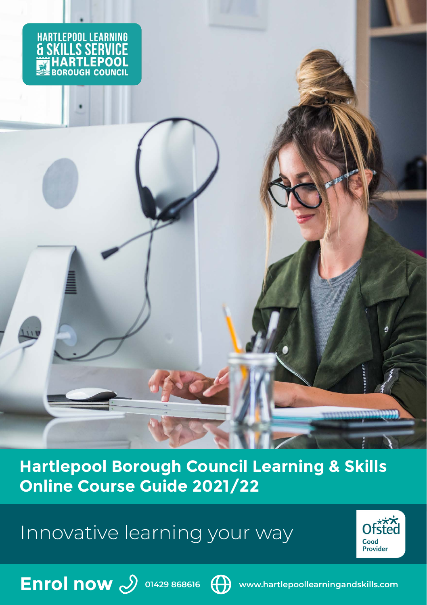

**Hartlepool Borough Council Learning & Skills Online Course Guide 2021/22**

Innovative learning your way





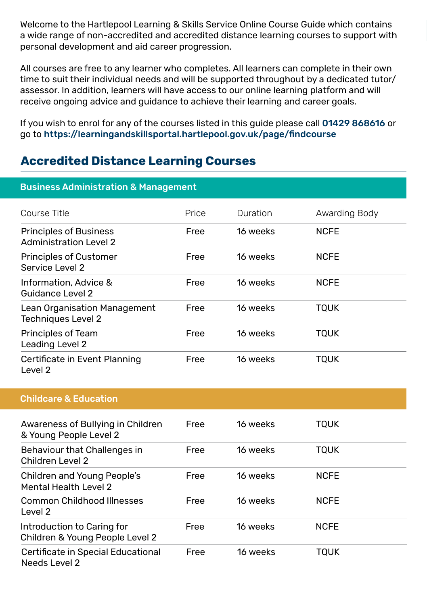Welcome to the Hartlepool Learning & Skills Service Online Course Guide which contains a wide range of non-accredited and accredited distance learning courses to support with personal development and aid career progression.

All courses are free to any learner who completes. All learners can complete in their own time to suit their individual needs and will be supported throughout by a dedicated tutor/ assessor. In addition, learners will have access to our online learning platform and will receive ongoing advice and guidance to achieve their learning and career goals.

If you wish to enrol for any of the courses listed in this guide please call 01429 868616 or go to https://learningandskillsportal.hartlepool.gov.uk/page/findcourse

## **Accredited Distance Learning Courses**

| <b>Business Administration &amp; Management</b>                |       |          |               |
|----------------------------------------------------------------|-------|----------|---------------|
| Course Title                                                   | Price | Duration | Awarding Body |
| <b>Principles of Business</b><br><b>Administration Level 2</b> | Free  | 16 weeks | <b>NCFE</b>   |
| <b>Principles of Customer</b><br>Service Level 2               | Free  | 16 weeks | <b>NCFE</b>   |
| Information, Advice &<br>Guidance Level 2                      | Free  | 16 weeks | <b>NCFE</b>   |
| Lean Organisation Management<br><b>Techniques Level 2</b>      | Free  | 16 weeks | <b>TQUK</b>   |
| Principles of Team<br>Leading Level 2                          | Free  | 16 weeks | <b>TQUK</b>   |
| Certificate in Event Planning<br>Level 2                       | Free  | 16 weeks | <b>TQUK</b>   |
| <b>Childcare &amp; Education</b>                               |       |          |               |
| Awareness of Bullying in Children<br>& Young People Level 2    | Free  | 16 weeks | <b>TOUK</b>   |
| Behaviour that Challenges in<br>Children Level 2               | Free  | 16 weeks | <b>TQUK</b>   |
| Children and Young People's<br>Mental Health Level 2           | Free  | 16 weeks | <b>NCFE</b>   |
| <b>Common Childhood Illnesses</b><br>Level 2                   | Free  | 16 weeks | <b>NCFE</b>   |
| Introduction to Caring for<br>Children & Young People Level 2  | Free  | 16 weeks | <b>NCFE</b>   |
| Certificate in Special Educational<br>Needs Level 2            | Free  | 16 weeks | <b>TQUK</b>   |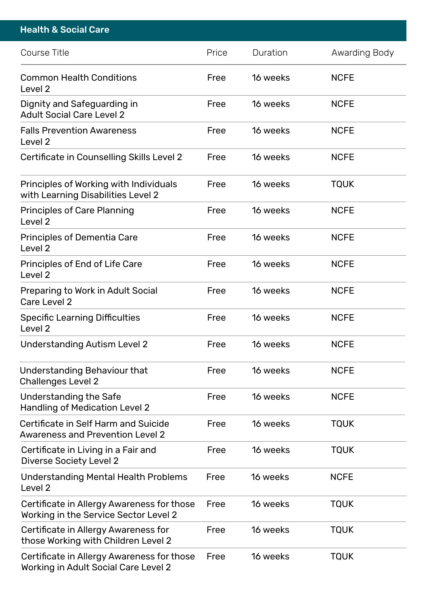| <b>Health &amp; Social Care</b>                                                     |       |          |               |
|-------------------------------------------------------------------------------------|-------|----------|---------------|
| Course Title                                                                        | Price | Duration | Awarding Body |
| <b>Common Health Conditions</b><br>Level 2                                          | Free  | 16 weeks | NCFE          |
| Dignity and Safeguarding in<br><b>Adult Social Care Level 2</b>                     | Free  | 16 weeks | NCFE          |
| <b>Falls Prevention Awareness</b><br>Level 2                                        | Free  | 16 weeks | NCFE          |
| Certificate in Counselling Skills Level 2                                           | Free  | 16 weeks | NCFE          |
| Principles of Working with Individuals<br>with Learning Disabilities Level 2        | Free  | 16 weeks | TQUK          |
| Principles of Care Planning<br>Level 2                                              | Free  | 16 weeks | NCFE          |
| Principles of Dementia Care<br>Level 2                                              | Free  | 16 weeks | NCFE          |
| Principles of End of Life Care<br>Level 2                                           | Free  | 16 weeks | <b>NCFE</b>   |
| Preparing to Work in Adult Social<br>Care Level 2                                   | Free  | 16 weeks | <b>NCFE</b>   |
| Specific Learning Difficulties<br>Level <sub>2</sub>                                | Free  | 16 weeks | NCFE          |
| Understanding Autism Level 2                                                        | Free  | 16 weeks | NCFE          |
| Understanding Behaviour that<br>Challenges Level 2                                  | Free  | 16 weeks | NCFE          |
| Understanding the Safe<br>Handling of Medication Level 2                            | Free  | 16 weeks | <b>NCFE</b>   |
| Certificate in Self Harm and Suicide<br><b>Awareness and Prevention Level 2</b>     | Free  | 16 weeks | <b>TQUK</b>   |
| Certificate in Living in a Fair and<br>Diverse Society Level 2                      | Free  | 16 weeks | TQUK          |
| Understanding Mental Health Problems<br>Level 2                                     | Free  | 16 weeks | NCFE          |
| Certificate in Allergy Awareness for those<br>Working in the Service Sector Level 2 | Free  | 16 weeks | <b>TQUK</b>   |
| Certificate in Allergy Awareness for<br>those Working with Children Level 2         | Free  | 16 weeks | <b>TQUK</b>   |
| Certificate in Allergy Awareness for those<br>Working in Adult Social Care Level 2  | Free  | 16 weeks | <b>TQUK</b>   |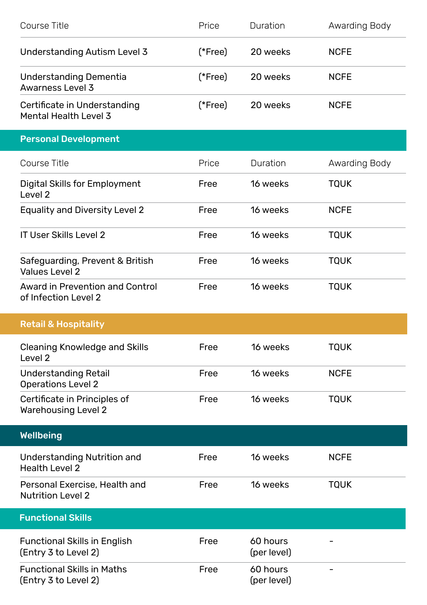| Course Title                                               | Price   | Duration                | Awarding Body |
|------------------------------------------------------------|---------|-------------------------|---------------|
| Understanding Autism Level 3                               | (*Free) | 20 weeks                | <b>NCFE</b>   |
| Understanding Dementia<br>Awarness Level 3                 | (*Free) | 20 weeks                | <b>NCFE</b>   |
| Certificate in Understanding<br>Mental Health Level 3      | (*Free) | 20 weeks                | <b>NCFE</b>   |
| <b>Personal Development</b>                                |         |                         |               |
| Course Title                                               | Price   | Duration                | Awarding Body |
| Digital Skills for Employment<br>Level 2                   | Free    | 16 weeks                | <b>TQUK</b>   |
| <b>Equality and Diversity Level 2</b>                      | Free    | 16 weeks                | <b>NCFE</b>   |
| <b>IT User Skills Level 2</b>                              | Free    | 16 weeks                | <b>TQUK</b>   |
| Safeguarding, Prevent & British<br>Values Level 2          | Free    | 16 weeks                | <b>TQUK</b>   |
| Award in Prevention and Control<br>of Infection Level 2    | Free    | 16 weeks                | <b>TQUK</b>   |
| <b>Retail &amp; Hospitality</b>                            |         |                         |               |
| <b>Cleaning Knowledge and Skills</b><br>Level 2            | Free    | 16 weeks                | <b>TQUK</b>   |
| <b>Understanding Retail</b><br><b>Operations Level 2</b>   | Free    | 16 weeks                | <b>NCFE</b>   |
| Certificate in Principles of<br><b>Warehousing Level 2</b> | Free    | 16 weeks                | <b>TQUK</b>   |
| <b>Wellbeing</b>                                           |         |                         |               |
| Understanding Nutrition and<br><b>Health Level 2</b>       | Free    | 16 weeks                | <b>NCFE</b>   |
| Personal Exercise, Health and<br><b>Nutrition Level 2</b>  | Free    | 16 weeks                | <b>TQUK</b>   |
| <b>Functional Skills</b>                                   |         |                         |               |
| Functional Skills in English<br>(Entry 3 to Level 2)       | Free    | 60 hours<br>(per level) |               |
| <b>Functional Skills in Maths</b><br>(Entry 3 to Level 2)  | Free    | 60 hours<br>(per level) |               |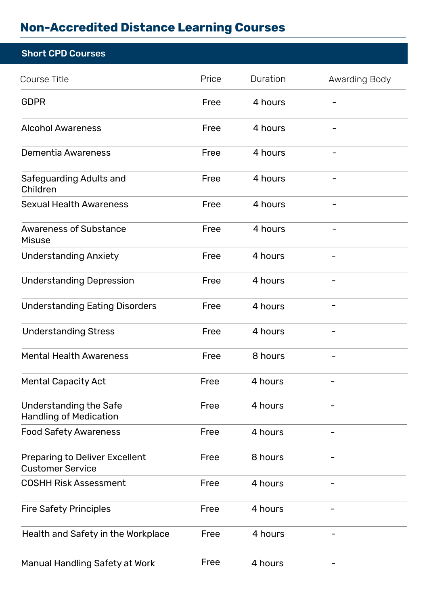## **Non-Accredited Distance Learning Courses**

| <b>Short CPD Courses</b>                                  |       |          |                |
|-----------------------------------------------------------|-------|----------|----------------|
| Course Title                                              | Price | Duration | Awarding Body  |
| <b>GDPR</b>                                               | Free  | 4 hours  |                |
| <b>Alcohol Awareness</b>                                  | Free  | 4 hours  |                |
| Dementia Awareness                                        | Free  | 4 hours  |                |
| Safeguarding Adults and<br>Children                       | Free  | 4 hours  |                |
| <b>Sexual Health Awareness</b>                            | Free  | 4 hours  |                |
| <b>Awareness of Substance</b><br>Misuse                   | Free  | 4 hours  |                |
| <b>Understanding Anxiety</b>                              | Free  | 4 hours  |                |
| <b>Understanding Depression</b>                           | Free  | 4 hours  |                |
| <b>Understanding Eating Disorders</b>                     | Free  | 4 hours  |                |
| <b>Understanding Stress</b>                               | Free  | 4 hours  |                |
| <b>Mental Health Awareness</b>                            | Free  | 8 hours  |                |
| <b>Mental Capacity Act</b>                                | Free  | 4 hours  |                |
| Understanding the Safe<br><b>Handling of Medication</b>   | Free  | 4 hours  |                |
| <b>Food Safety Awareness</b>                              | Free  | 4 hours  |                |
| Preparing to Deliver Excellent<br><b>Customer Service</b> | Free  | 8 hours  |                |
| <b>COSHH Risk Assessment</b>                              | Free  | 4 hours  | $\overline{a}$ |
| <b>Fire Safety Principles</b>                             | Free  | 4 hours  |                |
| Health and Safety in the Workplace                        | Free  | 4 hours  |                |
| Manual Handling Safety at Work                            | Free  | 4 hours  |                |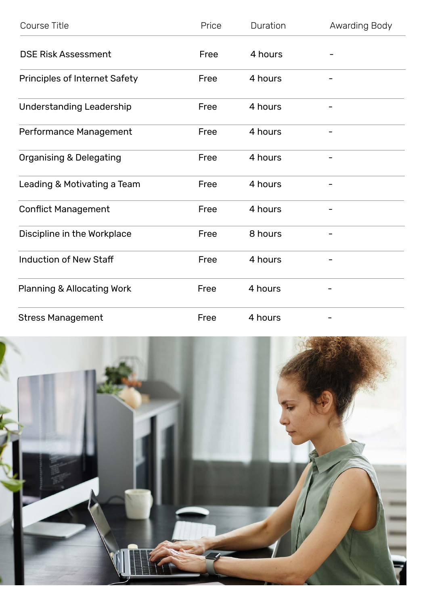| Course Title                  | Price | Duration | Awarding Body |
|-------------------------------|-------|----------|---------------|
| <b>DSE Risk Assessment</b>    | Free  | 4 hours  |               |
| Principles of Internet Safety | Free  | 4 hours  |               |
| Understanding Leadership      | Free  | 4 hours  |               |
| Performance Management        | Free  | 4 hours  |               |
| Organising & Delegating       | Free  | 4 hours  |               |
| Leading & Motivating a Team   | Free  | 4 hours  | -             |
| <b>Conflict Management</b>    | Free  | 4 hours  |               |
| Discipline in the Workplace   | Free  | 8 hours  |               |
| Induction of New Staff        | Free  | 4 hours  |               |
| Planning & Allocating Work    | Free  | 4 hours  |               |
| <b>Stress Management</b>      | Free  | 4 hours  |               |

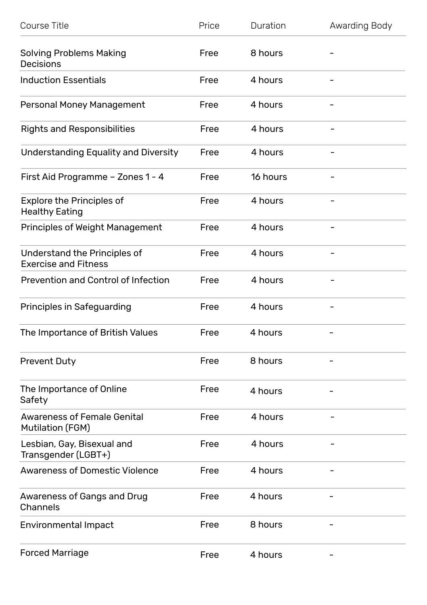| Course Title                                                | Price | Duration | Awarding Body            |
|-------------------------------------------------------------|-------|----------|--------------------------|
| Solving Problems Making<br>Decisions                        | Free  | 8 hours  |                          |
| <b>Induction Essentials</b>                                 | Free  | 4 hours  |                          |
| Personal Money Management                                   | Free  | 4 hours  |                          |
| <b>Rights and Responsibilities</b>                          | Free  | 4 hours  |                          |
| Understanding Equality and Diversity                        | Free  | 4 hours  | $\overline{\phantom{0}}$ |
| First Aid Programme - Zones 1 - 4                           | Free  | 16 hours |                          |
| <b>Explore the Principles of</b><br><b>Healthy Eating</b>   | Free  | 4 hours  |                          |
| Principles of Weight Management                             | Free  | 4 hours  |                          |
| Understand the Principles of<br><b>Exercise and Fitness</b> | Free  | 4 hours  |                          |
| Prevention and Control of Infection                         | Free  | 4 hours  |                          |
| Principles in Safeguarding                                  | Free  | 4 hours  |                          |
| The Importance of British Values                            | Free  | 4 hours  |                          |
| <b>Prevent Duty</b>                                         | Free  | 8 hours  |                          |
| The Importance of Online<br>Safety                          | Free  | 4 hours  |                          |
| <b>Awareness of Female Genital</b><br>Mutilation (FGM)      | Free  | 4 hours  |                          |
| Lesbian, Gay, Bisexual and<br>Transgender (LGBT+)           | Free  | 4 hours  |                          |
| <b>Awareness of Domestic Violence</b>                       | Free  | 4 hours  |                          |
| Awareness of Gangs and Drug<br>Channels                     | Free  | 4 hours  |                          |
| Environmental Impact                                        | Free  | 8 hours  |                          |
| <b>Forced Marriage</b>                                      | Free  | 4 hours  | -                        |